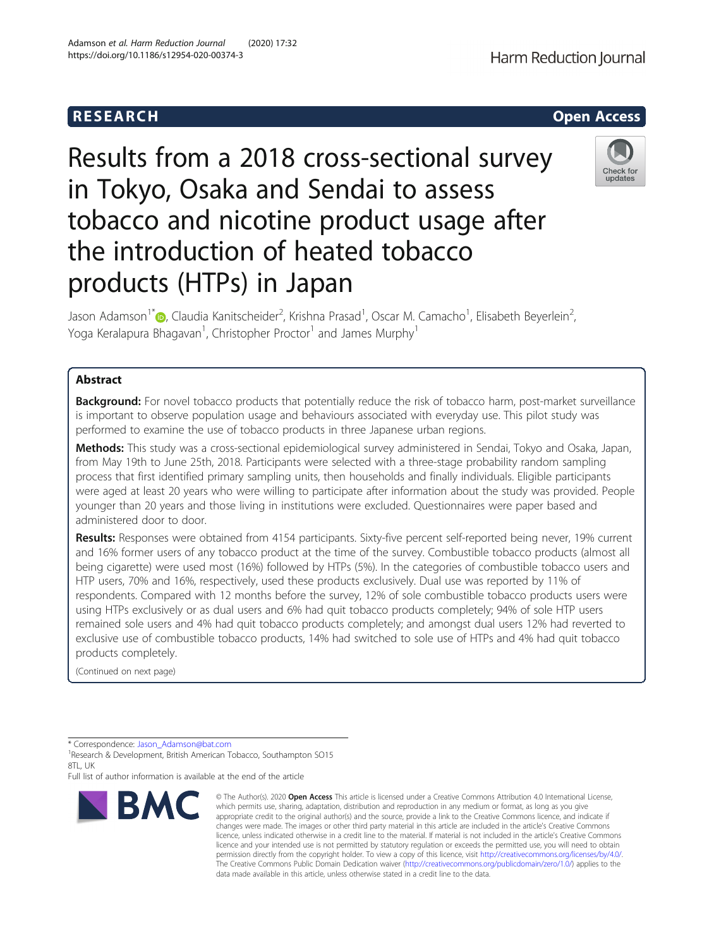Results from a 2018 cross-sectional survey in Tokyo, Osaka and Sendai to assess tobacco and nicotine product usage after the introduction of heated tobacco products (HTPs) in Japan

Jason Adamson<sup>1\*</sup>�, Claudia Kanitscheider<sup>2</sup>, Krishna Prasad<sup>1</sup>, Oscar M. Camacho<sup>1</sup>, Elisabeth Beyerlein<sup>2</sup> , Yoga Keralapura Bhagavan<sup>1</sup>, Christopher Proctor<sup>1</sup> and James Murphy<sup>1</sup>

# Abstract

Background: For novel tobacco products that potentially reduce the risk of tobacco harm, post-market surveillance is important to observe population usage and behaviours associated with everyday use. This pilot study was performed to examine the use of tobacco products in three Japanese urban regions.

Methods: This study was a cross-sectional epidemiological survey administered in Sendai, Tokyo and Osaka, Japan, from May 19th to June 25th, 2018. Participants were selected with a three-stage probability random sampling process that first identified primary sampling units, then households and finally individuals. Eligible participants were aged at least 20 years who were willing to participate after information about the study was provided. People younger than 20 years and those living in institutions were excluded. Questionnaires were paper based and administered door to door.

Results: Responses were obtained from 4154 participants. Sixty-five percent self-reported being never, 19% current and 16% former users of any tobacco product at the time of the survey. Combustible tobacco products (almost all being cigarette) were used most (16%) followed by HTPs (5%). In the categories of combustible tobacco users and HTP users, 70% and 16%, respectively, used these products exclusively. Dual use was reported by 11% of respondents. Compared with 12 months before the survey, 12% of sole combustible tobacco products users were using HTPs exclusively or as dual users and 6% had quit tobacco products completely; 94% of sole HTP users remained sole users and 4% had quit tobacco products completely; and amongst dual users 12% had reverted to exclusive use of combustible tobacco products, 14% had switched to sole use of HTPs and 4% had quit tobacco products completely.

(Continued on next page)

\* Correspondence: [Jason\\_Adamson@bat.com](mailto:Jason_Adamson@bat.com) <sup>1</sup>

<sup>1</sup> Research & Development, British American Tobacco, Southampton SO15 8TL, UK

Full list of author information is available at the end of the article

#### © The Author(s), 2020 **Open Access** This article is licensed under a Creative Commons Attribution 4.0 International License, BMC which permits use, sharing, adaptation, distribution and reproduction in any medium or format, as long as you give appropriate credit to the original author(s) and the source, provide a link to the Creative Commons licence, and indicate if changes were made. The images or other third party material in this article are included in the article's Creative Commons licence, unless indicated otherwise in a credit line to the material. If material is not included in the article's Creative Commons licence and your intended use is not permitted by statutory regulation or exceeds the permitted use, you will need to obtain permission directly from the copyright holder. To view a copy of this licence, visit [http://creativecommons.org/licenses/by/4.0/.](http://creativecommons.org/licenses/by/4.0/) The Creative Commons Public Domain Dedication waiver [\(http://creativecommons.org/publicdomain/zero/1.0/](http://creativecommons.org/publicdomain/zero/1.0/)) applies to the

data made available in this article, unless otherwise stated in a credit line to the data.







Check for undates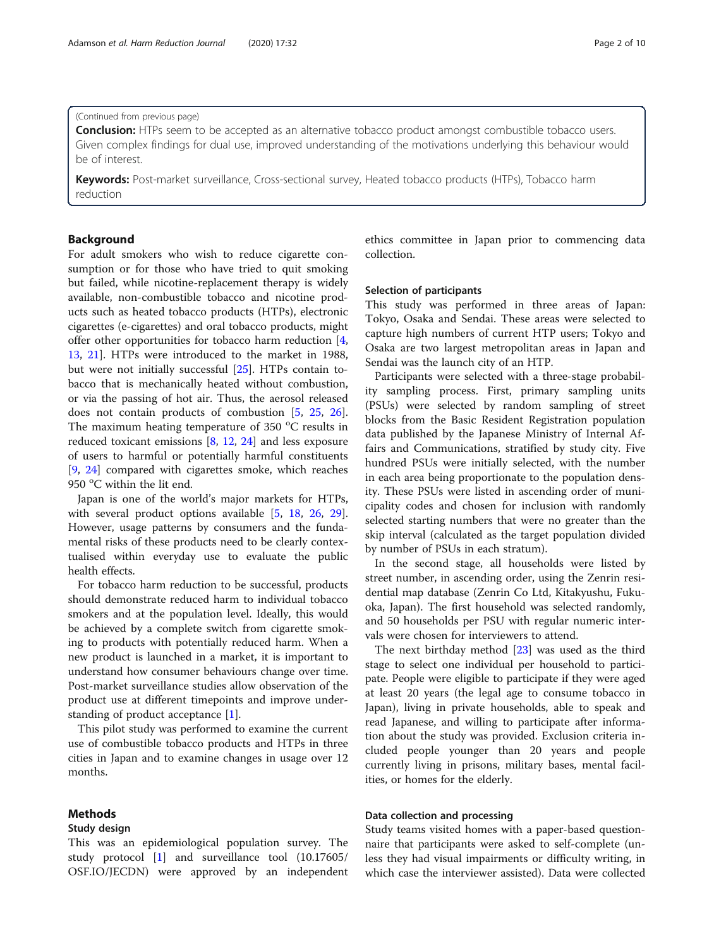(Continued from previous page)

**Conclusion:** HTPs seem to be accepted as an alternative tobacco product amongst combustible tobacco users. Given complex findings for dual use, improved understanding of the motivations underlying this behaviour would be of interest.

Keywords: Post-market surveillance, Cross-sectional survey, Heated tobacco products (HTPs), Tobacco harm reduction

# Background

For adult smokers who wish to reduce cigarette consumption or for those who have tried to quit smoking but failed, while nicotine-replacement therapy is widely available, non-combustible tobacco and nicotine products such as heated tobacco products (HTPs), electronic cigarettes (e-cigarettes) and oral tobacco products, might offer other opportunities for tobacco harm reduction [\[4](#page-8-0), [13,](#page-8-0) [21\]](#page-8-0). HTPs were introduced to the market in 1988, but were not initially successful [[25](#page-9-0)]. HTPs contain tobacco that is mechanically heated without combustion, or via the passing of hot air. Thus, the aerosol released does not contain products of combustion [[5,](#page-8-0) [25](#page-9-0), [26](#page-9-0)]. The maximum heating temperature of 350 °C results in reduced toxicant emissions [\[8](#page-8-0), [12,](#page-8-0) [24\]](#page-9-0) and less exposure of users to harmful or potentially harmful constituents [[9,](#page-8-0) [24](#page-9-0)] compared with cigarettes smoke, which reaches 950 °C within the lit end.

Japan is one of the world's major markets for HTPs, with several product options available [[5,](#page-8-0) [18,](#page-8-0) [26](#page-9-0), [29](#page-9-0)]. However, usage patterns by consumers and the fundamental risks of these products need to be clearly contextualised within everyday use to evaluate the public health effects.

For tobacco harm reduction to be successful, products should demonstrate reduced harm to individual tobacco smokers and at the population level. Ideally, this would be achieved by a complete switch from cigarette smoking to products with potentially reduced harm. When a new product is launched in a market, it is important to understand how consumer behaviours change over time. Post-market surveillance studies allow observation of the product use at different timepoints and improve understanding of product acceptance [[1\]](#page-8-0).

This pilot study was performed to examine the current use of combustible tobacco products and HTPs in three cities in Japan and to examine changes in usage over 12 months.

# Methods

# Study design

This was an epidemiological population survey. The study protocol [[1\]](#page-8-0) and surveillance tool (10.17605/ OSF.IO/JECDN) were approved by an independent ethics committee in Japan prior to commencing data collection.

## Selection of participants

This study was performed in three areas of Japan: Tokyo, Osaka and Sendai. These areas were selected to capture high numbers of current HTP users; Tokyo and Osaka are two largest metropolitan areas in Japan and Sendai was the launch city of an HTP.

Participants were selected with a three-stage probability sampling process. First, primary sampling units (PSUs) were selected by random sampling of street blocks from the Basic Resident Registration population data published by the Japanese Ministry of Internal Affairs and Communications, stratified by study city. Five hundred PSUs were initially selected, with the number in each area being proportionate to the population density. These PSUs were listed in ascending order of municipality codes and chosen for inclusion with randomly selected starting numbers that were no greater than the skip interval (calculated as the target population divided by number of PSUs in each stratum).

In the second stage, all households were listed by street number, in ascending order, using the Zenrin residential map database (Zenrin Co Ltd, Kitakyushu, Fukuoka, Japan). The first household was selected randomly, and 50 households per PSU with regular numeric intervals were chosen for interviewers to attend.

The next birthday method [\[23\]](#page-9-0) was used as the third stage to select one individual per household to participate. People were eligible to participate if they were aged at least 20 years (the legal age to consume tobacco in Japan), living in private households, able to speak and read Japanese, and willing to participate after information about the study was provided. Exclusion criteria included people younger than 20 years and people currently living in prisons, military bases, mental facilities, or homes for the elderly.

# Data collection and processing

Study teams visited homes with a paper-based questionnaire that participants were asked to self-complete (unless they had visual impairments or difficulty writing, in which case the interviewer assisted). Data were collected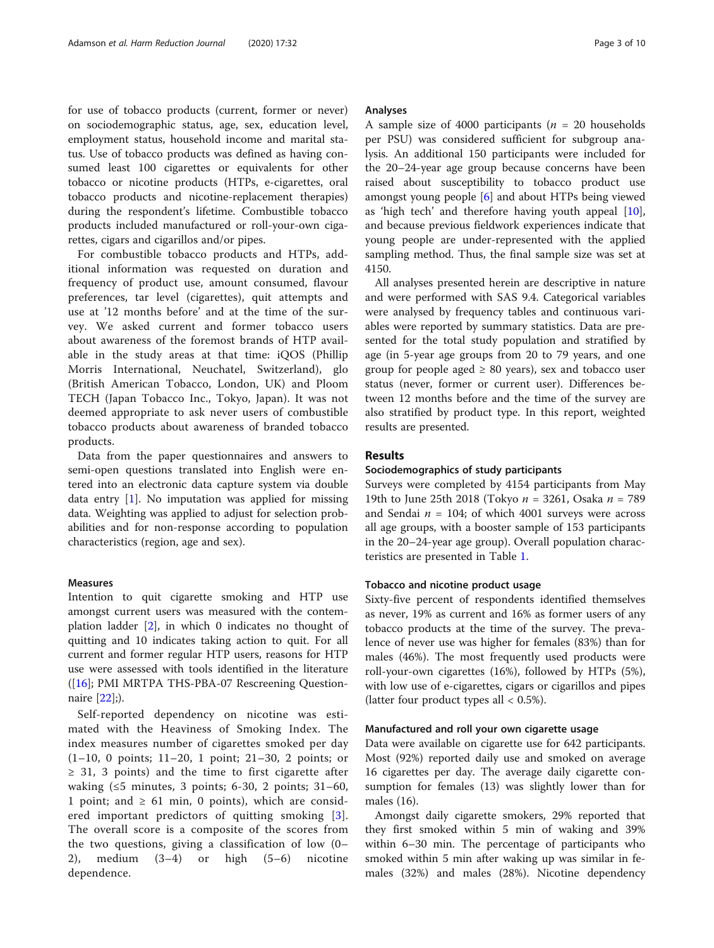for use of tobacco products (current, former or never) on sociodemographic status, age, sex, education level, employment status, household income and marital status. Use of tobacco products was defined as having consumed least 100 cigarettes or equivalents for other tobacco or nicotine products (HTPs, e-cigarettes, oral tobacco products and nicotine-replacement therapies) during the respondent's lifetime. Combustible tobacco products included manufactured or roll-your-own cigarettes, cigars and cigarillos and/or pipes.

For combustible tobacco products and HTPs, additional information was requested on duration and frequency of product use, amount consumed, flavour preferences, tar level (cigarettes), quit attempts and use at '12 months before' and at the time of the survey. We asked current and former tobacco users about awareness of the foremost brands of HTP available in the study areas at that time: iQOS (Phillip Morris International, Neuchatel, Switzerland), glo (British American Tobacco, London, UK) and Ploom TECH (Japan Tobacco Inc., Tokyo, Japan). It was not deemed appropriate to ask never users of combustible tobacco products about awareness of branded tobacco products.

Data from the paper questionnaires and answers to semi-open questions translated into English were entered into an electronic data capture system via double data entry  $[1]$  $[1]$ . No imputation was applied for missing data. Weighting was applied to adjust for selection probabilities and for non-response according to population characteristics (region, age and sex).

## Measures

Intention to quit cigarette smoking and HTP use amongst current users was measured with the contemplation ladder [\[2](#page-8-0)], in which 0 indicates no thought of quitting and 10 indicates taking action to quit. For all current and former regular HTP users, reasons for HTP use were assessed with tools identified in the literature ([\[16\]](#page-8-0); PMI MRTPA THS-PBA-07 Rescreening Questionnaire [\[22](#page-9-0)];).

Self-reported dependency on nicotine was estimated with the Heaviness of Smoking Index. The index measures number of cigarettes smoked per day (1–10, 0 points; 11–20, 1 point; 21–30, 2 points; or ≥ 31, 3 points) and the time to first cigarette after waking  $(≤5 \text{ minutes}, 3 \text{ points}; 6-30, 2 \text{ points}; 31-60,$ 1 point; and  $\geq 61$  min, 0 points), which are considered important predictors of quitting smoking [[3](#page-8-0)]. The overall score is a composite of the scores from the two questions, giving a classification of low (0– 2), medium (3–4) or high (5–6) nicotine dependence.

## Analyses

A sample size of 4000 participants ( $n = 20$  households per PSU) was considered sufficient for subgroup analysis. An additional 150 participants were included for the 20–24-year age group because concerns have been raised about susceptibility to tobacco product use amongst young people [[6\]](#page-8-0) and about HTPs being viewed as 'high tech' and therefore having youth appeal [\[10](#page-8-0)], and because previous fieldwork experiences indicate that young people are under-represented with the applied sampling method. Thus, the final sample size was set at 4150.

All analyses presented herein are descriptive in nature and were performed with SAS 9.4. Categorical variables were analysed by frequency tables and continuous variables were reported by summary statistics. Data are presented for the total study population and stratified by age (in 5-year age groups from 20 to 79 years, and one group for people aged  $\geq 80$  years), sex and tobacco user status (never, former or current user). Differences between 12 months before and the time of the survey are also stratified by product type. In this report, weighted results are presented.

# Results

## Sociodemographics of study participants

Surveys were completed by 4154 participants from May 19th to June 25th 2018 (Tokyo  $n = 3261$ , Osaka  $n = 789$ and Sendai  $n = 104$ ; of which 4001 surveys were across all age groups, with a booster sample of 153 participants in the 20–24-year age group). Overall population characteristics are presented in Table [1.](#page-3-0)

## Tobacco and nicotine product usage

Sixty-five percent of respondents identified themselves as never, 19% as current and 16% as former users of any tobacco products at the time of the survey. The prevalence of never use was higher for females (83%) than for males (46%). The most frequently used products were roll-your-own cigarettes (16%), followed by HTPs (5%), with low use of e-cigarettes, cigars or cigarillos and pipes (latter four product types all  $< 0.5\%$ ).

#### Manufactured and roll your own cigarette usage

Data were available on cigarette use for 642 participants. Most (92%) reported daily use and smoked on average 16 cigarettes per day. The average daily cigarette consumption for females (13) was slightly lower than for males (16).

Amongst daily cigarette smokers, 29% reported that they first smoked within 5 min of waking and 39% within 6–30 min. The percentage of participants who smoked within 5 min after waking up was similar in females (32%) and males (28%). Nicotine dependency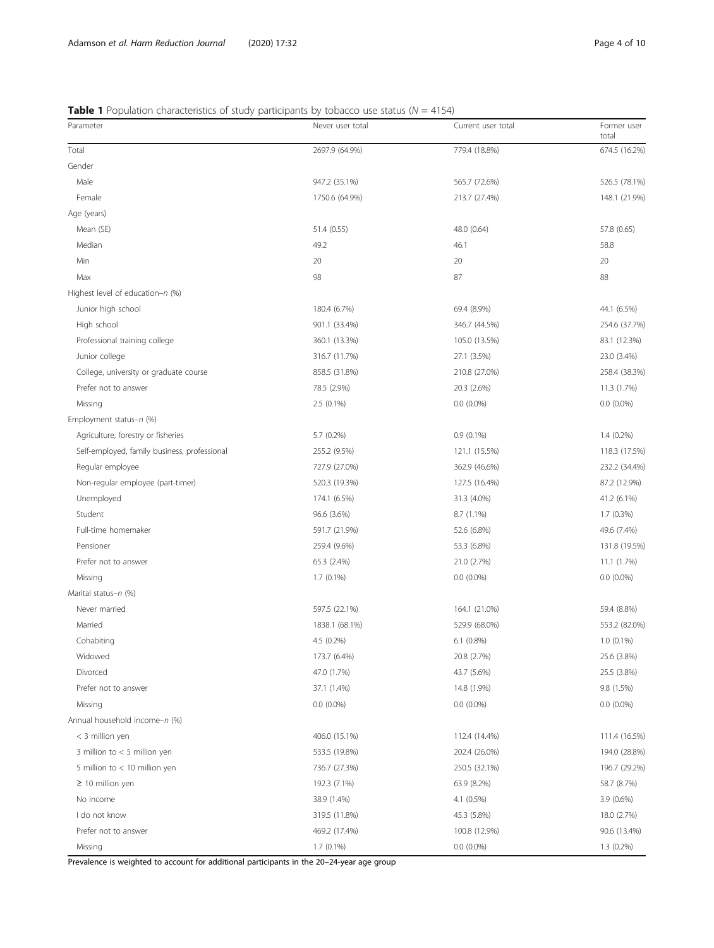# <span id="page-3-0"></span>**Table 1** Population characteristics of study participants by tobacco use status ( $N = 4154$ )

| Parameter                                    | Never user total | Current user total | Former user<br>total |
|----------------------------------------------|------------------|--------------------|----------------------|
| Total                                        | 2697.9 (64.9%)   | 779.4 (18.8%)      | 674.5 (16.2%)        |
| Gender                                       |                  |                    |                      |
| Male                                         | 947.2 (35.1%)    | 565.7 (72.6%)      | 526.5 (78.1%)        |
| Female                                       | 1750.6 (64.9%)   | 213.7 (27.4%)      | 148.1 (21.9%)        |
| Age (years)                                  |                  |                    |                      |
| Mean (SE)                                    | 51.4 (0.55)      | 48.0 (0.64)        | 57.8 (0.65)          |
| Median                                       | 49.2             | 46.1               | 58.8                 |
| Min                                          | 20               | 20                 | 20                   |
| Max                                          | 98               | 87                 | 88                   |
| Highest level of education-n (%)             |                  |                    |                      |
| Junior high school                           | 180.4 (6.7%)     | 69.4 (8.9%)        | 44.1 (6.5%)          |
| High school                                  | 901.1 (33.4%)    | 346.7 (44.5%)      | 254.6 (37.7%)        |
| Professional training college                | 360.1 (13.3%)    | 105.0 (13.5%)      | 83.1 (12.3%)         |
| Junior college                               | 316.7 (11.7%)    | 27.1 (3.5%)        | 23.0 (3.4%)          |
| College, university or graduate course       | 858.5 (31.8%)    | 210.8 (27.0%)      | 258.4 (38.3%)        |
| Prefer not to answer                         | 78.5 (2.9%)      | 20.3 (2.6%)        | 11.3 (1.7%)          |
| Missing                                      | $2.5(0.1\%)$     | $0.0(0.0\%)$       | $0.0(0.0\%)$         |
| Employment status-n (%)                      |                  |                    |                      |
| Agriculture, forestry or fisheries           | 5.7 (0.2%)       | $0.9(0.1\%)$       | $1.4(0.2\%)$         |
| Self-employed, family business, professional | 255.2 (9.5%)     | 121.1 (15.5%)      | 118.3 (17.5%)        |
| Regular employee                             | 727.9 (27.0%)    | 362.9 (46.6%)      | 232.2 (34.4%)        |
| Non-regular employee (part-timer)            | 520.3 (19.3%)    | 127.5 (16.4%)      | 87.2 (12.9%)         |
| Unemployed                                   | 174.1 (6.5%)     | 31.3 (4.0%)        | 41.2 (6.1%)          |
| Student                                      | 96.6 (3.6%)      | 8.7 (1.1%)         | $1.7(0.3\%)$         |
| Full-time homemaker                          | 591.7 (21.9%)    | 52.6 (6.8%)        | 49.6 (7.4%)          |
| Pensioner                                    | 259.4 (9.6%)     | 53.3 (6.8%)        | 131.8 (19.5%)        |
| Prefer not to answer                         | 65.3 (2.4%)      | 21.0 (2.7%)        | 11.1 (1.7%)          |
| Missing                                      | $1.7(0.1\%)$     | $0.0(0.0\%)$       | $0.0(0.0\%)$         |
| Marital status-n (%)                         |                  |                    |                      |
| Never married                                | 597.5 (22.1%)    | 164.1 (21.0%)      | 59.4 (8.8%)          |
| Married                                      | 1838.1 (68.1%)   | 529.9 (68.0%)      | 553.2 (82.0%)        |
| Cohabiting                                   | 4.5 (0.2%)       | $6.1$ $(0.8\%)$    | $1.0(0.1\%)$         |
| Widowed                                      | 173.7 (6.4%)     | 20.8 (2.7%)        | 25.6 (3.8%)          |
| Divorced                                     | 47.0 (1.7%)      | 43.7 (5.6%)        | 25.5 (3.8%)          |
| Prefer not to answer                         | 37.1 (1.4%)      | 14.8 (1.9%)        | 9.8 (1.5%)           |
| Missing                                      | $0.0(0.0\%)$     | $0.0(0.0\%)$       | $0.0(0.0\%)$         |
| Annual household income-n (%)                |                  |                    |                      |
| < 3 million yen                              | 406.0 (15.1%)    | 112.4 (14.4%)      | 111.4 (16.5%)        |
| 3 million to $<$ 5 million yen               | 533.5 (19.8%)    | 202.4 (26.0%)      | 194.0 (28.8%)        |
| 5 million to < 10 million yen                | 736.7 (27.3%)    | 250.5 (32.1%)      | 196.7 (29.2%)        |
| $\geq$ 10 million yen                        | 192.3 (7.1%)     | 63.9 (8.2%)        | 58.7 (8.7%)          |
| No income                                    | 38.9 (1.4%)      | 4.1 (0.5%)         | $3.9(0.6\%)$         |
| I do not know                                | 319.5 (11.8%)    | 45.3 (5.8%)        | 18.0 (2.7%)          |
| Prefer not to answer                         | 469.2 (17.4%)    | 100.8 (12.9%)      | 90.6 (13.4%)         |
| Missing                                      | $1.7(0.1\%)$     | $0.0(0.0\%)$       | $1.3(0.2\%)$         |

Prevalence is weighted to account for additional participants in the 20–24-year age group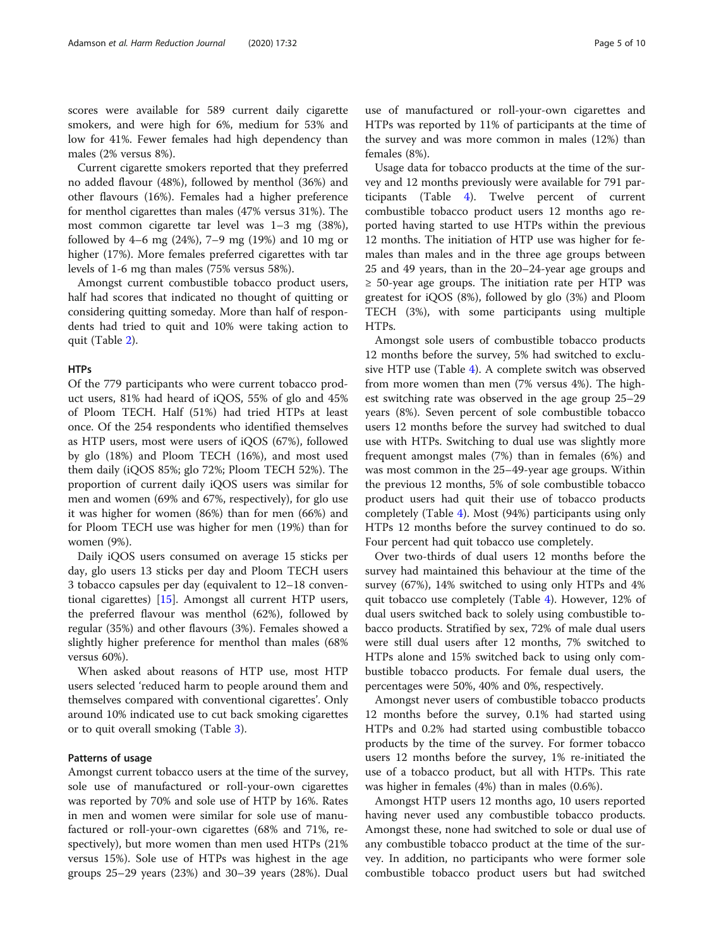scores were available for 589 current daily cigarette smokers, and were high for 6%, medium for 53% and low for 41%. Fewer females had high dependency than males (2% versus 8%).

Current cigarette smokers reported that they preferred no added flavour (48%), followed by menthol (36%) and other flavours (16%). Females had a higher preference for menthol cigarettes than males (47% versus 31%). The most common cigarette tar level was 1–3 mg (38%), followed by 4–6 mg (24%), 7–9 mg (19%) and 10 mg or higher (17%). More females preferred cigarettes with tar levels of 1-6 mg than males (75% versus 58%).

Amongst current combustible tobacco product users, half had scores that indicated no thought of quitting or considering quitting someday. More than half of respondents had tried to quit and 10% were taking action to quit (Table [2\)](#page-5-0).

## **HTPs**

Of the 779 participants who were current tobacco product users, 81% had heard of iQOS, 55% of glo and 45% of Ploom TECH. Half (51%) had tried HTPs at least once. Of the 254 respondents who identified themselves as HTP users, most were users of iQOS (67%), followed by glo (18%) and Ploom TECH (16%), and most used them daily (iQOS 85%; glo 72%; Ploom TECH 52%). The proportion of current daily iQOS users was similar for men and women (69% and 67%, respectively), for glo use it was higher for women (86%) than for men (66%) and for Ploom TECH use was higher for men (19%) than for women (9%).

Daily iQOS users consumed on average 15 sticks per day, glo users 13 sticks per day and Ploom TECH users 3 tobacco capsules per day (equivalent to 12–18 conventional cigarettes) [[15\]](#page-8-0). Amongst all current HTP users, the preferred flavour was menthol (62%), followed by regular (35%) and other flavours (3%). Females showed a slightly higher preference for menthol than males (68% versus 60%).

When asked about reasons of HTP use, most HTP users selected 'reduced harm to people around them and themselves compared with conventional cigarettes'. Only around 10% indicated use to cut back smoking cigarettes or to quit overall smoking (Table [3\)](#page-6-0).

## Patterns of usage

Amongst current tobacco users at the time of the survey, sole use of manufactured or roll-your-own cigarettes was reported by 70% and sole use of HTP by 16%. Rates in men and women were similar for sole use of manufactured or roll-your-own cigarettes (68% and 71%, respectively), but more women than men used HTPs (21% versus 15%). Sole use of HTPs was highest in the age groups 25–29 years (23%) and 30–39 years (28%). Dual

use of manufactured or roll-your-own cigarettes and HTPs was reported by 11% of participants at the time of the survey and was more common in males (12%) than females (8%).

Usage data for tobacco products at the time of the survey and 12 months previously were available for 791 participants (Table [4](#page-6-0)). Twelve percent of current combustible tobacco product users 12 months ago reported having started to use HTPs within the previous 12 months. The initiation of HTP use was higher for females than males and in the three age groups between 25 and 49 years, than in the 20–24-year age groups and  $\geq$  50-year age groups. The initiation rate per HTP was greatest for iQOS (8%), followed by glo (3%) and Ploom TECH (3%), with some participants using multiple HTPs.

Amongst sole users of combustible tobacco products 12 months before the survey, 5% had switched to exclusive HTP use (Table [4](#page-6-0)). A complete switch was observed from more women than men (7% versus 4%). The highest switching rate was observed in the age group 25–29 years (8%). Seven percent of sole combustible tobacco users 12 months before the survey had switched to dual use with HTPs. Switching to dual use was slightly more frequent amongst males (7%) than in females (6%) and was most common in the 25–49-year age groups. Within the previous 12 months, 5% of sole combustible tobacco product users had quit their use of tobacco products completely (Table [4](#page-6-0)). Most (94%) participants using only HTPs 12 months before the survey continued to do so. Four percent had quit tobacco use completely.

Over two-thirds of dual users 12 months before the survey had maintained this behaviour at the time of the survey (67%), 14% switched to using only HTPs and 4% quit tobacco use completely (Table [4](#page-6-0)). However, 12% of dual users switched back to solely using combustible tobacco products. Stratified by sex, 72% of male dual users were still dual users after 12 months, 7% switched to HTPs alone and 15% switched back to using only combustible tobacco products. For female dual users, the percentages were 50%, 40% and 0%, respectively.

Amongst never users of combustible tobacco products 12 months before the survey, 0.1% had started using HTPs and 0.2% had started using combustible tobacco products by the time of the survey. For former tobacco users 12 months before the survey, 1% re-initiated the use of a tobacco product, but all with HTPs. This rate was higher in females (4%) than in males (0.6%).

Amongst HTP users 12 months ago, 10 users reported having never used any combustible tobacco products. Amongst these, none had switched to sole or dual use of any combustible tobacco product at the time of the survey. In addition, no participants who were former sole combustible tobacco product users but had switched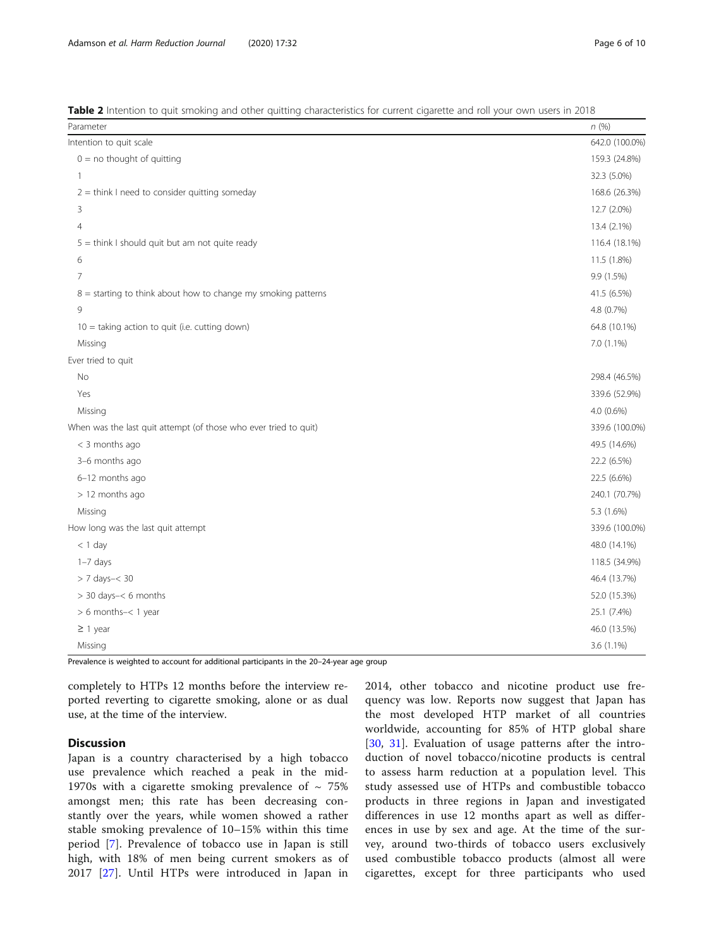Prevalence is weighted to account for additional participants in the 20–24-year age group

completely to HTPs 12 months before the interview reported reverting to cigarette smoking, alone or as dual use, at the time of the interview.

# **Discussion**

Japan is a country characterised by a high tobacco use prevalence which reached a peak in the mid-1970s with a cigarette smoking prevalence of  $\sim 75\%$ amongst men; this rate has been decreasing constantly over the years, while women showed a rather stable smoking prevalence of 10–15% within this time period [\[7](#page-8-0)]. Prevalence of tobacco use in Japan is still high, with 18% of men being current smokers as of 2017 [[27\]](#page-9-0). Until HTPs were introduced in Japan in

2014, other tobacco and nicotine product use frequency was low. Reports now suggest that Japan has the most developed HTP market of all countries worldwide, accounting for 85% of HTP global share [[30,](#page-9-0) [31\]](#page-9-0). Evaluation of usage patterns after the introduction of novel tobacco/nicotine products is central to assess harm reduction at a population level. This study assessed use of HTPs and combustible tobacco products in three regions in Japan and investigated differences in use 12 months apart as well as differences in use by sex and age. At the time of the survey, around two-thirds of tobacco users exclusively used combustible tobacco products (almost all were cigarettes, except for three participants who used

<span id="page-5-0"></span>Table 2 Intention to quit smoking and other quitting characteristics for current cigarette and roll your own users in 2018

| Parameter                                                        | n(%)           |
|------------------------------------------------------------------|----------------|
| Intention to quit scale                                          | 642.0 (100.0%) |
| $0 =$ no thought of quitting                                     | 159.3 (24.8%)  |
| 1                                                                | 32.3 (5.0%)    |
| $2 =$ think I need to consider quitting someday                  | 168.6 (26.3%)  |
| 3                                                                | 12.7 (2.0%)    |
| $\overline{4}$                                                   | 13.4 (2.1%)    |
| $5 =$ think I should quit but am not quite ready                 | 116.4 (18.1%)  |
| 6                                                                | 11.5 (1.8%)    |
| 7                                                                | 9.9 (1.5%)     |
| $8 =$ starting to think about how to change my smoking patterns  | 41.5 (6.5%)    |
| 9                                                                | 4.8 (0.7%)     |
| $10 =$ taking action to quit (i.e. cutting down)                 | 64.8 (10.1%)   |
| Missing                                                          | 7.0 (1.1%)     |
| Ever tried to quit                                               |                |
| No                                                               | 298.4 (46.5%)  |
| Yes                                                              | 339.6 (52.9%)  |
| Missing                                                          | 4.0 (0.6%)     |
| When was the last quit attempt (of those who ever tried to quit) | 339.6 (100.0%) |
| < 3 months ago                                                   | 49.5 (14.6%)   |
| 3-6 months ago                                                   | 22.2 (6.5%)    |
| 6-12 months ago                                                  | 22.5 (6.6%)    |
| > 12 months ago                                                  | 240.1 (70.7%)  |
| Missing                                                          | 5.3 (1.6%)     |
| How long was the last quit attempt                               | 339.6 (100.0%) |
| $<$ 1 day                                                        | 48.0 (14.1%)   |
| $1-7$ days                                                       | 118.5 (34.9%)  |
| > 7 days-< 30                                                    | 46.4 (13.7%)   |
| > 30 days-< 6 months                                             | 52.0 (15.3%)   |
| > 6 months-< 1 year                                              | 25.1 (7.4%)    |
| $\geq$ 1 year                                                    | 46.0 (13.5%)   |
| Missing                                                          | 3.6 (1.1%)     |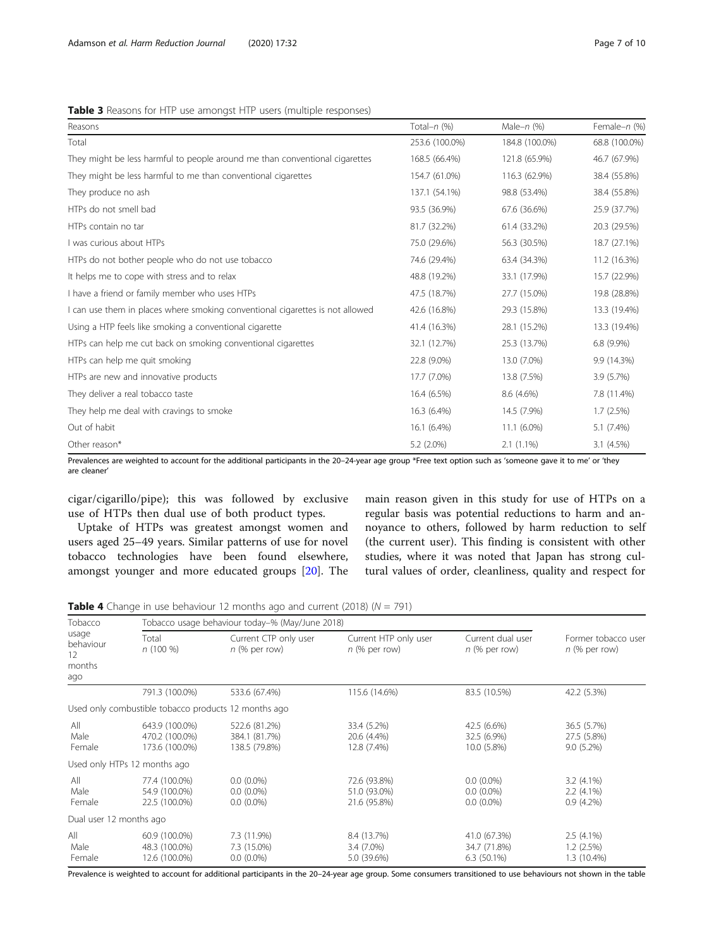## <span id="page-6-0"></span>Table 3 Reasons for HTP use amongst HTP users (multiple responses)

| Reasons                                                                       | Total- $n$ (%) | Male- $n$ (%)  | Female-n (%)  |
|-------------------------------------------------------------------------------|----------------|----------------|---------------|
| Total                                                                         | 253.6 (100.0%) | 184.8 (100.0%) | 68.8 (100.0%) |
| They might be less harmful to people around me than conventional cigarettes   | 168.5 (66.4%)  | 121.8 (65.9%)  | 46.7 (67.9%)  |
| They might be less harmful to me than conventional cigarettes                 | 154.7 (61.0%)  | 116.3 (62.9%)  | 38.4 (55.8%)  |
| They produce no ash                                                           | 137.1 (54.1%)  | 98.8 (53.4%)   | 38.4 (55.8%)  |
| HTPs do not smell bad                                                         | 93.5 (36.9%)   | 67.6 (36.6%)   | 25.9 (37.7%)  |
| HTPs contain no tar                                                           | 81.7 (32.2%)   | 61.4 (33.2%)   | 20.3 (29.5%)  |
| I was curious about HTPs                                                      | 75.0 (29.6%)   | 56.3 (30.5%)   | 18.7 (27.1%)  |
| HTPs do not bother people who do not use tobacco                              | 74.6 (29.4%)   | 63.4 (34.3%)   | 11.2 (16.3%)  |
| It helps me to cope with stress and to relax                                  | 48.8 (19.2%)   | 33.1 (17.9%)   | 15.7 (22.9%)  |
| I have a friend or family member who uses HTPs                                | 47.5 (18.7%)   | 27.7 (15.0%)   | 19.8 (28.8%)  |
| I can use them in places where smoking conventional cigarettes is not allowed | 42.6 (16.8%)   | 29.3 (15.8%)   | 13.3 (19.4%)  |
| Using a HTP feels like smoking a conventional cigarette                       | 41.4 (16.3%)   | 28.1 (15.2%)   | 13.3 (19.4%)  |
| HTPs can help me cut back on smoking conventional cigarettes                  | 32.1 (12.7%)   | 25.3 (13.7%)   | $6.8(9.9\%)$  |
| HTPs can help me quit smoking                                                 | 22.8 (9.0%)    | 13.0 (7.0%)    | 9.9 (14.3%)   |
| HTPs are new and innovative products                                          | 17.7 (7.0%)    | 13.8 (7.5%)    | 3.9 (5.7%)    |
| They deliver a real tobacco taste                                             | 16.4 (6.5%)    | 8.6 (4.6%)     | 7.8 (11.4%)   |
| They help me deal with cravings to smoke                                      | 16.3 (6.4%)    | 14.5 (7.9%)    | 1.7(2.5%)     |
| Out of habit                                                                  | 16.1 (6.4%)    | $11.1(6.0\%)$  | $5.1(7.4\%)$  |
| Other reason*                                                                 | 5.2 (2.0%)     | $2.1(1.1\%)$   | 3.1(4.5%)     |

Prevalences are weighted to account for the additional participants in the 20–24-year age group \*Free text option such as 'someone gave it to me' or 'they are cleaner'

cigar/cigarillo/pipe); this was followed by exclusive use of HTPs then dual use of both product types.

Uptake of HTPs was greatest amongst women and users aged 25–49 years. Similar patterns of use for novel tobacco technologies have been found elsewhere, amongst younger and more educated groups [[20\]](#page-8-0). The main reason given in this study for use of HTPs on a regular basis was potential reductions to harm and annoyance to others, followed by harm reduction to self (the current user). This finding is consistent with other studies, where it was noted that Japan has strong cultural values of order, cleanliness, quality and respect for

**Table 4** Change in use behaviour 12 months ago and current (2018) ( $N = 791$ )

| Tobacco<br>usage<br>behaviour<br>12<br>months<br>ago |                                                      | Tobacco usage behaviour today-% (May/June 2018) |                                              |                                               |                                              |
|------------------------------------------------------|------------------------------------------------------|-------------------------------------------------|----------------------------------------------|-----------------------------------------------|----------------------------------------------|
|                                                      | Total<br>$n(100\%)$                                  | Current CTP only user<br>$n$ (% per row)        | Current HTP only user<br>$n$ (% per row)     | Current dual user<br>$n$ (% per row)          | Former tobacco user<br>$n$ (% per row)       |
|                                                      | 791.3 (100.0%)                                       | 533.6 (67.4%)                                   | 115.6 (14.6%)                                | 83.5 (10.5%)                                  | 42.2 (5.3%)                                  |
|                                                      | Used only combustible tobacco products 12 months ago |                                                 |                                              |                                               |                                              |
| All<br>Male<br>Female                                | 643.9 (100.0%)<br>470.2 (100.0%)<br>173.6 (100.0%)   | 522.6 (81.2%)<br>384.1 (81.7%)<br>138.5 (79.8%) | 33.4 (5.2%)<br>20.6 (4.4%)<br>12.8 (7.4%)    | 42.5 (6.6%)<br>32.5 (6.9%)<br>10.0 (5.8%)     | 36.5 (5.7%)<br>27.5 (5.8%)<br>$9.0(5.2\%)$   |
|                                                      | Used only HTPs 12 months ago                         |                                                 |                                              |                                               |                                              |
| All<br>Male<br>Female                                | 77.4 (100.0%)<br>54.9 (100.0%)<br>22.5 (100.0%)      | $0.0(0.0\%)$<br>$0.0(0.0\%)$<br>$0.0(0.0\%)$    | 72.6 (93.8%)<br>51.0 (93.0%)<br>21.6 (95.8%) | $0.0(0.0\%)$<br>$0.0(0.0\%)$<br>$0.0(0.0\%)$  | $3.2(4.1\%)$<br>$2.2(4.1\%)$<br>$0.9(4.2\%)$ |
| Dual user 12 months ago                              |                                                      |                                                 |                                              |                                               |                                              |
| All<br>Male<br>Female                                | 60.9 (100.0%)<br>48.3 (100.0%)<br>12.6 (100.0%)      | 7.3 (11.9%)<br>7.3 (15.0%)<br>$0.0(0.0\%)$      | 8.4 (13.7%)<br>$3.4(7.0\%)$<br>5.0 (39.6%)   | 41.0 (67.3%)<br>34.7 (71.8%)<br>$6.3(50.1\%)$ | $2.5(4.1\%)$<br>1.2(2.5%)<br>1.3 (10.4%)     |

Prevalence is weighted to account for additional participants in the 20–24-year age group. Some consumers transitioned to use behaviours not shown in the table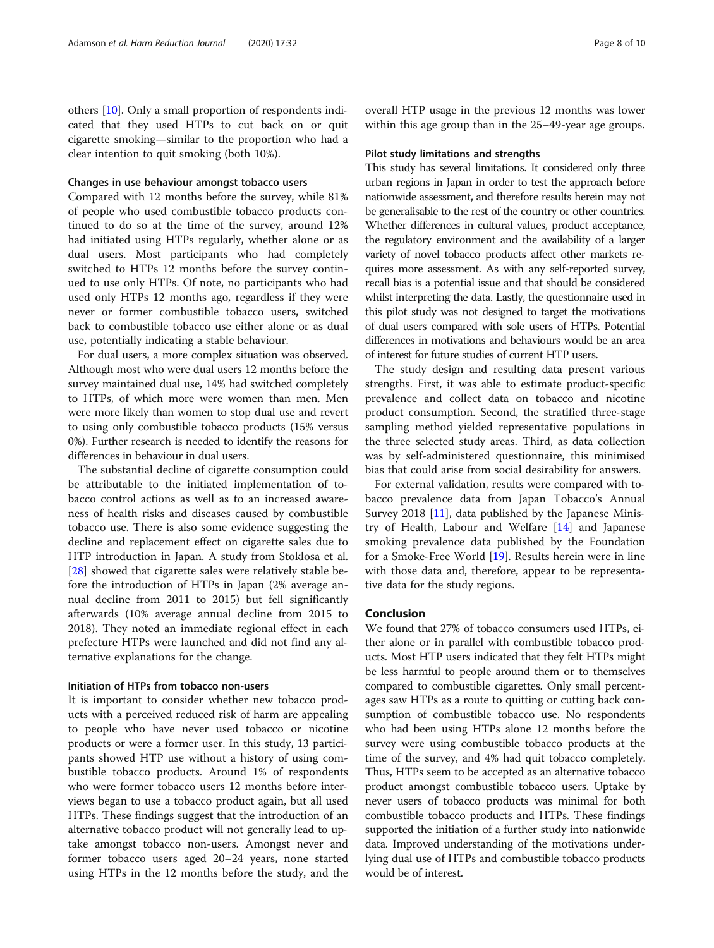others [\[10](#page-8-0)]. Only a small proportion of respondents indicated that they used HTPs to cut back on or quit cigarette smoking—similar to the proportion who had a clear intention to quit smoking (both 10%).

### Changes in use behaviour amongst tobacco users

Compared with 12 months before the survey, while 81% of people who used combustible tobacco products continued to do so at the time of the survey, around 12% had initiated using HTPs regularly, whether alone or as dual users. Most participants who had completely switched to HTPs 12 months before the survey continued to use only HTPs. Of note, no participants who had used only HTPs 12 months ago, regardless if they were never or former combustible tobacco users, switched back to combustible tobacco use either alone or as dual use, potentially indicating a stable behaviour.

For dual users, a more complex situation was observed. Although most who were dual users 12 months before the survey maintained dual use, 14% had switched completely to HTPs, of which more were women than men. Men were more likely than women to stop dual use and revert to using only combustible tobacco products (15% versus 0%). Further research is needed to identify the reasons for differences in behaviour in dual users.

The substantial decline of cigarette consumption could be attributable to the initiated implementation of tobacco control actions as well as to an increased awareness of health risks and diseases caused by combustible tobacco use. There is also some evidence suggesting the decline and replacement effect on cigarette sales due to HTP introduction in Japan. A study from Stoklosa et al. [[28\]](#page-9-0) showed that cigarette sales were relatively stable before the introduction of HTPs in Japan (2% average annual decline from 2011 to 2015) but fell significantly afterwards (10% average annual decline from 2015 to 2018). They noted an immediate regional effect in each prefecture HTPs were launched and did not find any alternative explanations for the change.

# Initiation of HTPs from tobacco non-users

It is important to consider whether new tobacco products with a perceived reduced risk of harm are appealing to people who have never used tobacco or nicotine products or were a former user. In this study, 13 participants showed HTP use without a history of using combustible tobacco products. Around 1% of respondents who were former tobacco users 12 months before interviews began to use a tobacco product again, but all used HTPs. These findings suggest that the introduction of an alternative tobacco product will not generally lead to uptake amongst tobacco non-users. Amongst never and former tobacco users aged 20–24 years, none started using HTPs in the 12 months before the study, and the overall HTP usage in the previous 12 months was lower within this age group than in the 25–49-year age groups.

#### Pilot study limitations and strengths

This study has several limitations. It considered only three urban regions in Japan in order to test the approach before nationwide assessment, and therefore results herein may not be generalisable to the rest of the country or other countries. Whether differences in cultural values, product acceptance, the regulatory environment and the availability of a larger variety of novel tobacco products affect other markets requires more assessment. As with any self-reported survey, recall bias is a potential issue and that should be considered whilst interpreting the data. Lastly, the questionnaire used in this pilot study was not designed to target the motivations of dual users compared with sole users of HTPs. Potential differences in motivations and behaviours would be an area of interest for future studies of current HTP users.

The study design and resulting data present various strengths. First, it was able to estimate product-specific prevalence and collect data on tobacco and nicotine product consumption. Second, the stratified three-stage sampling method yielded representative populations in the three selected study areas. Third, as data collection was by self-administered questionnaire, this minimised bias that could arise from social desirability for answers.

For external validation, results were compared with tobacco prevalence data from Japan Tobacco's Annual Survey 2018 [[11\]](#page-8-0), data published by the Japanese Ministry of Health, Labour and Welfare [[14\]](#page-8-0) and Japanese smoking prevalence data published by the Foundation for a Smoke-Free World [\[19](#page-8-0)]. Results herein were in line with those data and, therefore, appear to be representative data for the study regions.

# Conclusion

We found that 27% of tobacco consumers used HTPs, either alone or in parallel with combustible tobacco products. Most HTP users indicated that they felt HTPs might be less harmful to people around them or to themselves compared to combustible cigarettes. Only small percentages saw HTPs as a route to quitting or cutting back consumption of combustible tobacco use. No respondents who had been using HTPs alone 12 months before the survey were using combustible tobacco products at the time of the survey, and 4% had quit tobacco completely. Thus, HTPs seem to be accepted as an alternative tobacco product amongst combustible tobacco users. Uptake by never users of tobacco products was minimal for both combustible tobacco products and HTPs. These findings supported the initiation of a further study into nationwide data. Improved understanding of the motivations underlying dual use of HTPs and combustible tobacco products would be of interest.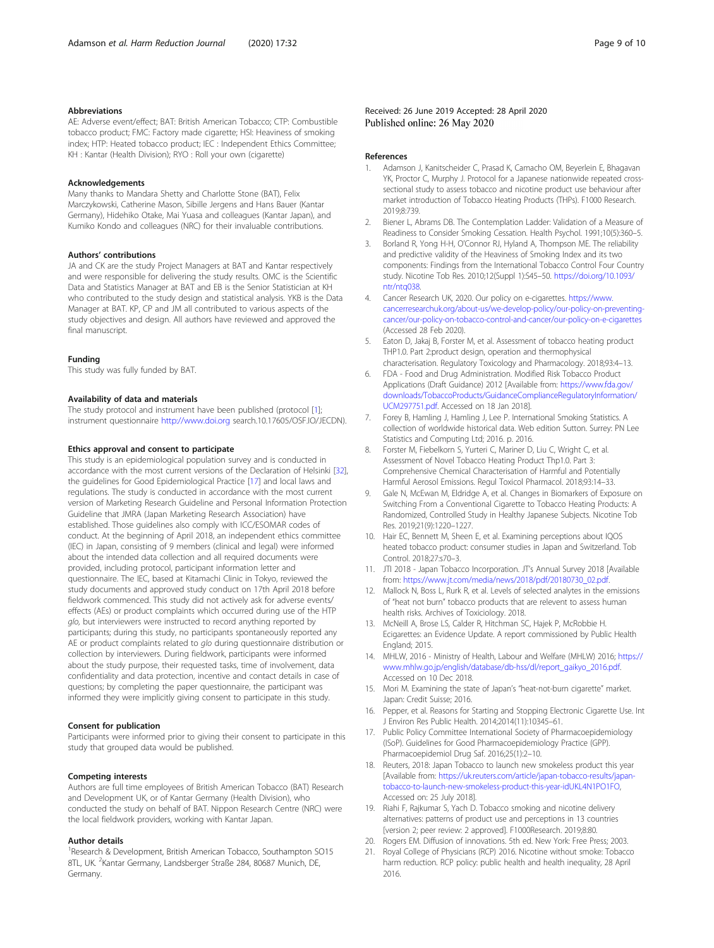## <span id="page-8-0"></span>Abbreviations

AE: Adverse event/effect; BAT: British American Tobacco; CTP: Combustible tobacco product; FMC: Factory made cigarette; HSI: Heaviness of smoking index; HTP: Heated tobacco product; IEC : Independent Ethics Committee; KH : Kantar (Health Division); RYO : Roll your own (cigarette)

#### Acknowledgements

Many thanks to Mandara Shetty and Charlotte Stone (BAT), Felix Marczykowski, Catherine Mason, Sibille Jergens and Hans Bauer (Kantar Germany), Hidehiko Otake, Mai Yuasa and colleagues (Kantar Japan), and Kumiko Kondo and colleagues (NRC) for their invaluable contributions.

#### Authors' contributions

JA and CK are the study Project Managers at BAT and Kantar respectively and were responsible for delivering the study results. OMC is the Scientific Data and Statistics Manager at BAT and EB is the Senior Statistician at KH who contributed to the study design and statistical analysis. YKB is the Data Manager at BAT. KP, CP and JM all contributed to various aspects of the study objectives and design. All authors have reviewed and approved the final manuscript.

#### Funding

This study was fully funded by BAT.

## Availability of data and materials

The study protocol and instrument have been published (protocol [1]; instrument questionnaire <http://www.doi.org> search.10.17605/OSF.IO/JECDN).

## Ethics approval and consent to participate

This study is an epidemiological population survey and is conducted in accordance with the most current versions of the Declaration of Helsinki [\[32](#page-9-0)], the guidelines for Good Epidemiological Practice [17] and local laws and regulations. The study is conducted in accordance with the most current version of Marketing Research Guideline and Personal Information Protection Guideline that JMRA (Japan Marketing Research Association) have established. Those guidelines also comply with ICC/ESOMAR codes of conduct. At the beginning of April 2018, an independent ethics committee (IEC) in Japan, consisting of 9 members (clinical and legal) were informed about the intended data collection and all required documents were provided, including protocol, participant information letter and questionnaire. The IEC, based at Kitamachi Clinic in Tokyo, reviewed the study documents and approved study conduct on 17th April 2018 before fieldwork commenced. This study did not actively ask for adverse events/ effects (AEs) or product complaints which occurred during use of the HTP glo, but interviewers were instructed to record anything reported by participants; during this study, no participants spontaneously reported any AE or product complaints related to glo during questionnaire distribution or collection by interviewers. During fieldwork, participants were informed about the study purpose, their requested tasks, time of involvement, data confidentiality and data protection, incentive and contact details in case of questions; by completing the paper questionnaire, the participant was informed they were implicitly giving consent to participate in this study.

#### Consent for publication

Participants were informed prior to giving their consent to participate in this study that grouped data would be published.

#### Competing interests

Authors are full time employees of British American Tobacco (BAT) Research and Development UK, or of Kantar Germany (Health Division), who conducted the study on behalf of BAT. Nippon Research Centre (NRC) were the local fieldwork providers, working with Kantar Japan.

## Author details

<sup>1</sup> Research & Development, British American Tobacco, Southampton SO15 8TL, UK. <sup>2</sup>Kantar Germany, Landsberger Straße 284, 80687 Munich, DE, Germany.

Published online: 26 May 2020

#### References

- 1. Adamson J, Kanitscheider C, Prasad K, Camacho OM, Beyerlein E, Bhagavan YK, Proctor C, Murphy J. Protocol for a Japanese nationwide repeated crosssectional study to assess tobacco and nicotine product use behaviour after market introduction of Tobacco Heating Products (THPs). F1000 Research. 2019;8:739.
- 2. Biener L, Abrams DB. The Contemplation Ladder: Validation of a Measure of Readiness to Consider Smoking Cessation. Health Psychol. 1991;10(5):360–5.
- 3. Borland R, Yong H-H, O'Connor RJ, Hyland A, Thompson ME. The reliability and predictive validity of the Heaviness of Smoking Index and its two components: Findings from the International Tobacco Control Four Country study. Nicotine Tob Res. 2010;12(Suppl 1):S45–50. [https://doi.org/10.1093/](https://doi.org/10.1093/ntr/ntq038) [ntr/ntq038](https://doi.org/10.1093/ntr/ntq038).
- 4. Cancer Research UK, 2020. Our policy on e-cigarettes. [https://www.](https://www.cancerresearchuk.org/about-us/we-develop-policy/our-policy-on-preventing-cancer/our-policy-on-tobacco-control-and-cancer/our-policy-on-e-cigarettes) [cancerresearchuk.org/about-us/we-develop-policy/our-policy-on-preventing](https://www.cancerresearchuk.org/about-us/we-develop-policy/our-policy-on-preventing-cancer/our-policy-on-tobacco-control-and-cancer/our-policy-on-e-cigarettes)[cancer/our-policy-on-tobacco-control-and-cancer/our-policy-on-e-cigarettes](https://www.cancerresearchuk.org/about-us/we-develop-policy/our-policy-on-preventing-cancer/our-policy-on-tobacco-control-and-cancer/our-policy-on-e-cigarettes) (Accessed 28 Feb 2020).
- Eaton D, Jakaj B, Forster M, et al. Assessment of tobacco heating product THP1.0. Part 2:product design, operation and thermophysical characterisation. Regulatory Toxicology and Pharmacology. 2018;93:4–13.
- 6. FDA Food and Drug Administration. Modified Risk Tobacco Product Applications (Draft Guidance) 2012 [Available from: [https://www.fda.gov/](https://www.fda.gov/downloads/TobaccoProducts/GuidanceComplianceRegulatoryInformation/UCM297751.pdf) [downloads/TobaccoProducts/GuidanceComplianceRegulatoryInformation/](https://www.fda.gov/downloads/TobaccoProducts/GuidanceComplianceRegulatoryInformation/UCM297751.pdf) [UCM297751.pdf.](https://www.fda.gov/downloads/TobaccoProducts/GuidanceComplianceRegulatoryInformation/UCM297751.pdf) Accessed on 18 Jan 2018].
- 7. Forey B, Hamling J, Hamling J, Lee P. International Smoking Statistics. A collection of worldwide historical data. Web edition Sutton. Surrey: PN Lee Statistics and Computing Ltd; 2016. p. 2016.
- 8. Forster M, Fiebelkorn S, Yurteri C, Mariner D, Liu C, Wright C, et al. Assessment of Novel Tobacco Heating Product Thp1.0. Part 3: Comprehensive Chemical Characterisation of Harmful and Potentially Harmful Aerosol Emissions. Regul Toxicol Pharmacol. 2018;93:14–33.
- 9. Gale N, McEwan M, Eldridge A, et al. Changes in Biomarkers of Exposure on Switching From a Conventional Cigarette to Tobacco Heating Products: A Randomized, Controlled Study in Healthy Japanese Subjects. Nicotine Tob Res. 2019;21(9):1220–1227.
- 10. Hair EC, Bennett M, Sheen E, et al. Examining perceptions about IQOS heated tobacco product: consumer studies in Japan and Switzerland. Tob Control. 2018;27:s70–3.
- 11. JTI 2018 Japan Tobacco Incorporation. JT's Annual Survey 2018 [Available from: [https://www.jt.com/media/news/2018/pdf/20180730\\_02.pdf.](https://www.jt.com/media/news/2018/pdf/20180730_02.pdf)
- 12. Mallock N, Boss L, Rurk R, et al. Levels of selected analytes in the emissions of "heat not burn" tobacco products that are relevent to assess human health risks. Archives of Toxiciology. 2018.
- 13. McNeill A, Brose LS, Calder R, Hitchman SC, Hajek P, McRobbie H. Ecigarettes: an Evidence Update. A report commissioned by Public Health England; 2015.
- 14. MHLW, 2016 Ministry of Health, Labour and Welfare (MHLW) 2016; [https://](https://www.mhlw.go.jp/english/database/db-hss/dl/report_gaikyo_2016.pdf) [www.mhlw.go.jp/english/database/db-hss/dl/report\\_gaikyo\\_2016.pdf](https://www.mhlw.go.jp/english/database/db-hss/dl/report_gaikyo_2016.pdf). Accessed on 10 Dec 2018.
- 15. Mori M. Examining the state of Japan's "heat-not-burn cigarette" market. Japan: Credit Suisse; 2016.
- 16. Pepper, et al. Reasons for Starting and Stopping Electronic Cigarette Use. Int J Environ Res Public Health. 2014;2014(11):10345–61.
- 17. Public Policy Committee International Society of Pharmacoepidemiology (ISoP). Guidelines for Good Pharmacoepidemiology Practice (GPP). Pharmacoepidemiol Drug Saf. 2016;25(1):2–10.
- 18. Reuters, 2018: Japan Tobacco to launch new smokeless product this year [Available from: [https://uk.reuters.com/article/japan-tobacco-results/japan](https://uk.reuters.com/article/japan-tobacco-results/japan-tobacco-to-launch-new-smokeless-product-this-year-idUKL4N1PO1FO)[tobacco-to-launch-new-smokeless-product-this-year-idUKL4N1PO1FO](https://uk.reuters.com/article/japan-tobacco-results/japan-tobacco-to-launch-new-smokeless-product-this-year-idUKL4N1PO1FO), Accessed on: 25 July 2018].
- 19. Riahi F, Rajkumar S, Yach D. Tobacco smoking and nicotine delivery alternatives: patterns of product use and perceptions in 13 countries [version 2; peer review: 2 approved]. F1000Research. 2019;8:80.
- 20. Rogers EM. Diffusion of innovations. 5th ed. New York: Free Press; 2003.
- 21. Royal College of Physicians (RCP) 2016. Nicotine without smoke: Tobacco harm reduction. RCP policy: public health and health inequality, 28 April 2016.